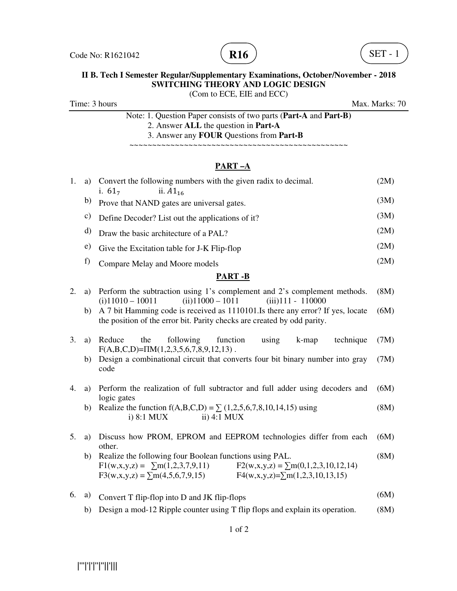



(Com to ECE, EIE and ECC)

Time: 3 hours Max. Marks: 70

Note: 1. Question Paper consists of two parts (**Part-A** and **Part-B)** 2. Answer **ALL** the question in **Part-A** 3. Answer any **FOUR** Questions from **Part-B**

~~~~~~~~~~~~~~~~~~~~~~~~~~~~~~~~~~~~~~~~~~~~~~~~

# **PART –A**

| 1. | a) | Convert the following numbers with the given radix to decimal.<br>i. $61_7$<br>ii. $A1_{16}$                                                                                                                                | (2M) |
|----|----|-----------------------------------------------------------------------------------------------------------------------------------------------------------------------------------------------------------------------------|------|
|    | b) | Prove that NAND gates are universal gates.                                                                                                                                                                                  | (3M) |
|    | c) | Define Decoder? List out the applications of it?                                                                                                                                                                            | (3M) |
|    | d) | Draw the basic architecture of a PAL?                                                                                                                                                                                       | (2M) |
|    | e) | Give the Excitation table for J-K Flip-flop                                                                                                                                                                                 | (2M) |
|    | f) | Compare Melay and Moore models                                                                                                                                                                                              | (2M) |
|    |    | <b>PART-B</b>                                                                                                                                                                                                               |      |
| 2. | a) | Perform the subtraction using 1's complement and 2's complement methods.<br>$(ii)$ 11000 - 1011<br>$(iii)$ 111 - 110000<br>$(i)$ 11010 - 10011                                                                              | (8M) |
|    | b) | A 7 bit Hamming code is received as 1110101. Is there any error? If yes, locate<br>the position of the error bit. Parity checks are created by odd parity.                                                                  | (6M) |
| 3. | a) | Reduce<br>the<br>following<br>function<br>using<br>technique<br>k-map<br>$F(A,B,C,D)=\Pi M(1,2,3,5,6,7,8,9,12,13)$ .                                                                                                        | (7M) |
|    | b) | Design a combinational circuit that converts four bit binary number into gray<br>code                                                                                                                                       | (7M) |
| 4. | a) | Perform the realization of full subtractor and full adder using decoders and<br>logic gates                                                                                                                                 | (6M) |
|    | b) | Realize the function $f(A,B,C,D) = \sum (1,2,5,6,7,8,10,14,15)$ using<br>i) 8:1 MUX<br>ii) 4:1 MUX                                                                                                                          | (8M) |
| 5. | a) | Discuss how PROM, EPROM and EEPROM technologies differ from each<br>other.                                                                                                                                                  | (6M) |
|    | b) | Realize the following four Boolean functions using PAL.<br>$F1(w,x,y,z) = \sum m(1,2,3,7,9,11)$<br>$F2(w,x,y,z) = \sum m(0,1,2,3,10,12,14)$<br>$F4(w,x,y,z)=\sum m(1,2,3,10,13,15)$<br>$F3(w,x,y,z) = \sum m(4,5,6,7,9,15)$ | (8M) |
| 6. | a) | Convert T flip-flop into D and JK flip-flops                                                                                                                                                                                | (6M) |
|    | b) | Design a mod-12 Ripple counter using T flip flops and explain its operation.                                                                                                                                                | (8M) |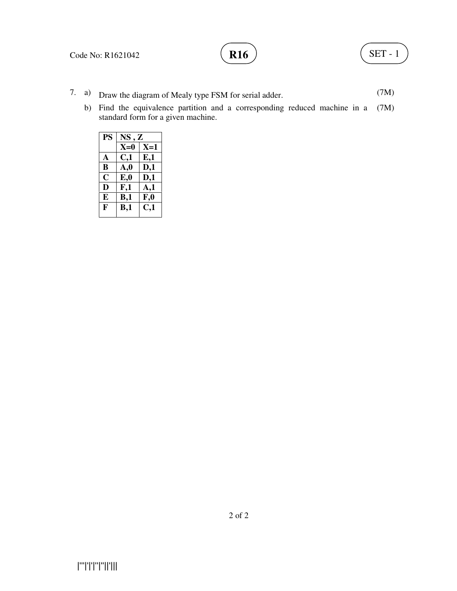- 7. a) Draw the diagram of Mealy type FSM for serial adder. (7M)
	- b) Find the equivalence partition and a corresponding reduced machine in a (7M) standard form for a given machine.

| <b>PS</b>    | NS, Z          |                 |
|--------------|----------------|-----------------|
|              | $X=0$          | $X=1$           |
| A            | C,1            | E,1             |
| B            | $\mathbf{A,0}$ | D,1             |
| C            | $E_{0}$        | D,1             |
| D            | F,1            | A,1             |
| E            | B,1            | $F_{\rm A}$     |
| $\mathbf{F}$ | B,1            | $\mathbf{C}$ ,1 |
|              |                |                 |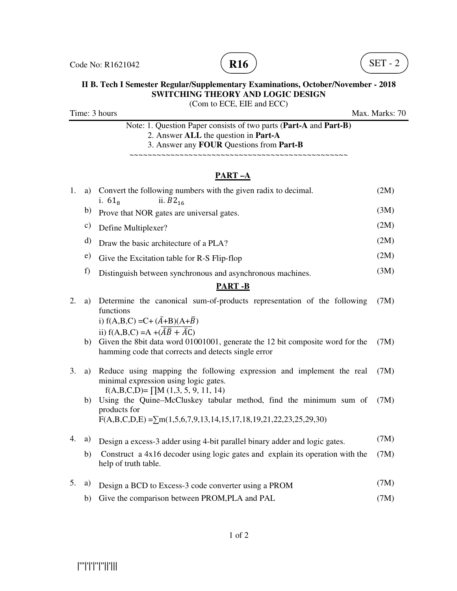

(Com to ECE, EIE and ECC)

Time: 3 hours Max. Marks: 70

Note: 1. Question Paper consists of two parts (**Part-A** and **Part-B)** 2. Answer **ALL** the question in **Part-A** 3. Answer any **FOUR** Questions from **Part-B**

#### ~~~~~~~~~~~~~~~~~~~~~~~~~~~~~~~~~~~~~~~~~~~~~~~~

## **PART –A**

| 1.               | a)            | Convert the following numbers with the given radix to decimal.<br>ii. $B2_{16}$<br>i. $61_{8}$                                                                                                          | (2M) |
|------------------|---------------|---------------------------------------------------------------------------------------------------------------------------------------------------------------------------------------------------------|------|
|                  | b)            | Prove that NOR gates are universal gates.                                                                                                                                                               | (3M) |
|                  | $\mathbf{c})$ | Define Multiplexer?                                                                                                                                                                                     | (2M) |
|                  | d)            | Draw the basic architecture of a PLA?                                                                                                                                                                   | (2M) |
|                  | e)            | Give the Excitation table for R-S Flip-flop                                                                                                                                                             | (2M) |
|                  | f)            | Distinguish between synchronous and asynchronous machines.                                                                                                                                              | (3M) |
|                  |               | <b>PART-B</b>                                                                                                                                                                                           |      |
| 2.               | a)            | Determine the canonical sum-of-products representation of the following<br>functions                                                                                                                    | (7M) |
|                  |               | i) $f(A,B,C) = C + (\bar{A}+B)(A+\bar{B})$                                                                                                                                                              |      |
|                  | b)            | ii) $f(A,B,C) = A + (\overline{A}\overline{B} + \overline{A}C)$<br>Given the 8bit data word 01001001, generate the 12 bit composite word for the<br>hamming code that corrects and detects single error | (7M) |
| 3.               | a)            | Reduce using mapping the following expression and implement the real<br>minimal expression using logic gates.                                                                                           | (7M) |
|                  | b)            | $f(A,B,C,D) = \prod M (1,3, 5, 9, 11, 14)$<br>Using the Quine–McCluskey tabular method, find the minimum sum of<br>products for                                                                         | (7M) |
|                  |               | $F(A,B,C,D,E) = \sum m(1,5,6,7,9,13,14,15,17,18,19,21,22,23,25,29,30)$                                                                                                                                  |      |
| $\overline{4}$ . | a)            | Design a excess-3 adder using 4-bit parallel binary adder and logic gates.                                                                                                                              | (7M) |
|                  | b)            | Construct a 4x16 decoder using logic gates and explain its operation with the<br>help of truth table.                                                                                                   | (7M) |
| 5.               | a)            | Design a BCD to Excess-3 code converter using a PROM                                                                                                                                                    | (7M) |

b) Give the comparison between PROM, PLA and PAL (7M)

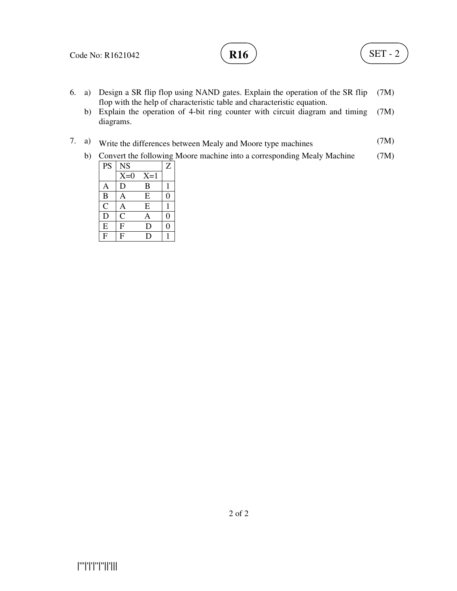

- 6. a) Design a SR flip flop using NAND gates. Explain the operation of the SR flip flop with the help of characteristic table and characteristic equation. (7M)
	- b) Explain the operation of 4-bit ring counter with circuit diagram and timing diagrams. (7M)
- 7. a) Write the differences between Mealy and Moore type machines (7M)
	- b) Convert the following Moore machine into a corresponding Mealy Machine (7M)

| PS                      | <b>NS</b>      |       | Z              |
|-------------------------|----------------|-------|----------------|
|                         | $X=0$          | $X=1$ |                |
| Α                       | D              | B     |                |
| $\overline{B}$          | A              | E     | 0              |
| $\overline{C}$          | A              | E     |                |
| $\overline{D}$          | $\mathsf{C}$   | Α     | $\overline{0}$ |
| ${\bf E}$               | F              | D     | 0              |
| $\overline{\mathrm{F}}$ | $\overline{F}$ | D     |                |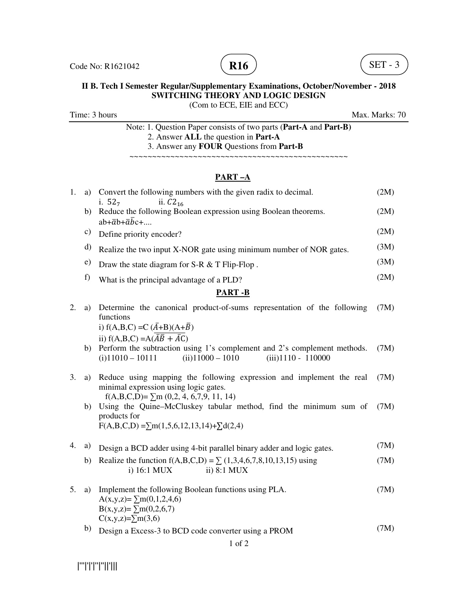

(Com to ECE, EIE and ECC)

Time: 3 hours Max. Marks: 70

Note: 1. Question Paper consists of two parts (**Part-A** and **Part-B)** 2. Answer **ALL** the question in **Part-A** 3. Answer any **FOUR** Questions from **Part-B**

~~~~~~~~~~~~~~~~~~~~~~~~~~~~~~~~~~~~~~~~~~~~~~~~

## **PART –A**

| 1. | a) | Convert the following numbers with the given radix to decimal.<br>i. $52_7$<br>ii. $C2_{16}$                                             | (2M) |
|----|----|------------------------------------------------------------------------------------------------------------------------------------------|------|
|    | b) | Reduce the following Boolean expression using Boolean theorems.<br>$ab + \overline{a}b + \overline{a}b + \ldots$                         | (2M) |
|    | c) | Define priority encoder?                                                                                                                 | (2M) |
|    | d) | Realize the two input X-NOR gate using minimum number of NOR gates.                                                                      | (3M) |
|    | e) | Draw the state diagram for S-R & T Flip-Flop.                                                                                            | (3M) |
|    | f) | What is the principal advantage of a PLD?                                                                                                | (2M) |
|    |    | <b>PART-B</b>                                                                                                                            |      |
| 2. | a) | Determine the canonical product-of-sums representation of the following<br>functions                                                     | (7M) |
|    |    | i) $f(A,B,C) = C (\overline{A} + B)(A + \overline{B})$                                                                                   |      |
|    | b) | ii) $f(A,B,C) = A(\overline{A}\overline{B} + \overline{A}C)$<br>Perform the subtraction using 1's complement and 2's complement methods. | (7M) |
|    |    | $(ii)$ 11000 - 1010<br>$(iii)$ 1110 - 110000<br>$(i)$ 11010 - 10111                                                                      |      |
| 3. | a) | Reduce using mapping the following expression and implement the real<br>minimal expression using logic gates.                            | (7M) |
|    |    | $f(A,B,C,D)=\sum m(0,2, 4, 6,7,9, 11, 14)$                                                                                               |      |
|    | b) | Using the Quine-McCluskey tabular method, find the minimum sum of<br>products for                                                        | (7M) |
|    |    | $F(A,B,C,D) = \sum m(1,5,6,12,13,14) + \sum d(2,4)$                                                                                      |      |
| 4. | a) | Design a BCD adder using 4-bit parallel binary adder and logic gates.                                                                    | (7M) |
|    | b) | Realize the function $f(A,B,C,D) = \sum (1,3,4,6,7,8,10,13,15)$ using<br>i) 16:1 MUX<br>ii) 8:1 MUX                                      | (7M) |
| 5. | a) | Implement the following Boolean functions using PLA.<br>$A(x,y,z)=\sum m(0,1,2,4,6)$                                                     | (7M) |
|    |    | $B(x,y,z)=\sum m(0,2,6,7)$<br>$C(x,y,z)=\sum m(3,6)$                                                                                     |      |
|    | b) | Design a Excess-3 to BCD code converter using a PROM                                                                                     | (7M) |

|'''|'|'|''|''||'|||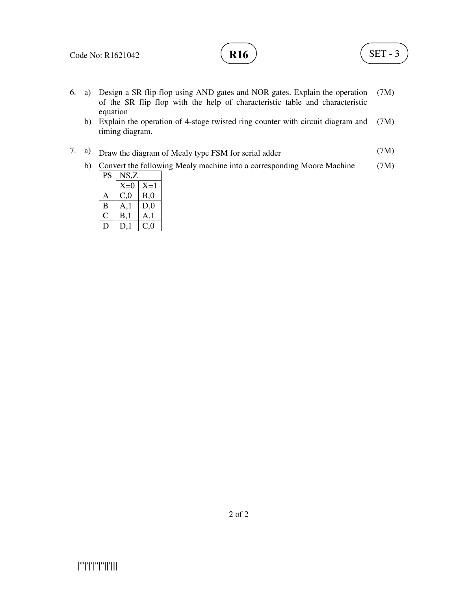

- 6. a) Design a SR flip flop using AND gates and NOR gates. Explain the operation of the SR flip flop with the help of characteristic table and characteristic equation (7M)
	- b) Explain the operation of 4-stage twisted ring counter with circuit diagram and timing diagram. (7M)
- 7. a) Draw the diagram of Mealy type FSM for serial adder (7M)
	- b) Convert the following Mealy machine into a corresponding Moore Machine (7M)

| PS | NS,Z  |       |
|----|-------|-------|
|    | $X=0$ | $X=1$ |
| A  | C,0   | B,0   |
| B  | A.1   | D,0   |
| C  | B,1   | A,1   |
| Ð  | D.1   | C.O   |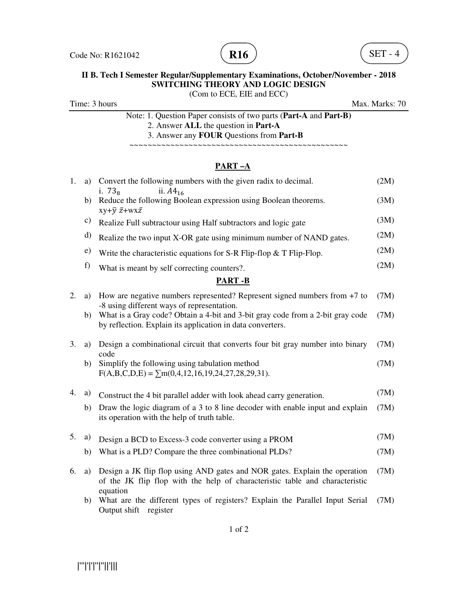



(Com to ECE, EIE and ECC)

Time: 3 hours Max. Marks: 70

Note: 1. Question Paper consists of two parts (**Part-A** and **Part-B)** 2. Answer **ALL** the question in **Part-A** 3. Answer any **FOUR** Questions from **Part-B**

~~~~~~~~~~~~~~~~~~~~~~~~~~~~~~~~~~~~~~~~~~~~~~~~

# **PART –A**

| 1. | a)            | Convert the following numbers with the given radix to decimal.<br>i. $738$<br>ii. $A4_{16}$                                                                            | (2M) |
|----|---------------|------------------------------------------------------------------------------------------------------------------------------------------------------------------------|------|
|    | b)            | Reduce the following Boolean expression using Boolean theorems.<br>$xy+\overline{y} \ \overline{z}+wx\overline{z}$                                                     | (3M) |
|    | $\mathbf{c})$ | Realize Full subtractour using Half subtractors and logic gate                                                                                                         | (3M) |
|    | d)            | Realize the two input X-OR gate using minimum number of NAND gates.                                                                                                    | (2M) |
|    | e)            | Write the characteristic equations for S-R Flip-flop $&$ T Flip-Flop.                                                                                                  | (2M) |
|    | f)            | What is meant by self correcting counters?.                                                                                                                            | (2M) |
|    |               | <b>PART-B</b>                                                                                                                                                          |      |
| 2. | a)            | How are negative numbers represented? Represent signed numbers from $+7$ to<br>-8 using different ways of representation.                                              | (7M) |
|    | b)            | What is a Gray code? Obtain a 4-bit and 3-bit gray code from a 2-bit gray code<br>by reflection. Explain its application in data converters.                           | (7M) |
| 3. | a)            | Design a combinational circuit that converts four bit gray number into binary<br>code                                                                                  | (7M) |
|    | b)            | Simplify the following using tabulation method<br>$F(A,B,C,D,E) = \sum m(0,4,12,16,19,24,27,28,29,31).$                                                                | (7M) |
| 4. | a)            | Construct the 4 bit parallel adder with look ahead carry generation.                                                                                                   | (7M) |
|    | b)            | Draw the logic diagram of a 3 to 8 line decoder with enable input and explain<br>its operation with the help of truth table.                                           | (7M) |
| 5. | a)            | Design a BCD to Excess-3 code converter using a PROM                                                                                                                   | (7M) |
|    | b)            | What is a PLD? Compare the three combinational PLDs?                                                                                                                   | (7M) |
| 6. | a)            | Design a JK flip flop using AND gates and NOR gates. Explain the operation<br>of the JK flip flop with the help of characteristic table and characteristic<br>equation | (7M) |
|    | b)            | What are the different types of registers? Explain the Parallel Input Serial<br>Output shift register                                                                  | (7M) |